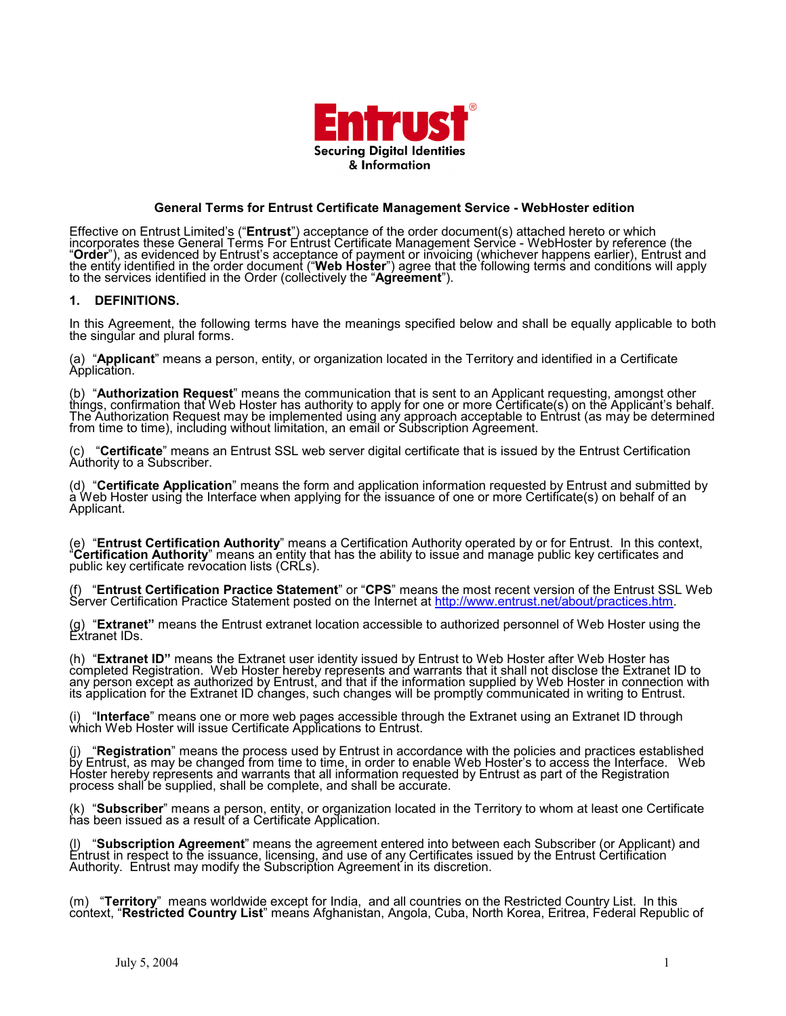

## **General Terms for Entrust Certificate Management Service - WebHoster edition**

Effective on Entrust Limited's ("**Entrust**") acceptance of the order document(s) attached hereto or which incorporates these General Terms For Entrust Certificate Management Service - WebHoster by reference (the "Order"), as evidenced by Enfrust's acceptance of payment or invoicing (whichever happens earlier), Entrust and<br>the entity identified in the order document ("Web Hoster") agree that the following terms and conditions will

#### **1. DEFINITIONS.**

In this Agreement, the following terms have the meanings specified below and shall be equally applicable to both the singular and plural forms.

(a) "**Applicant**" means a person, entity, or organization located in the Territory and identified in a Certificate<br>Application.

(b) "Authorization Request" means the communication that is sent to an Applicant requesting, amongst other things, confirmation that Web Hoster has authority to apply for one or more Certificate(s) on the Applicant's behal The Authorization Request may be implemented úsing any approach acceptable to Entrúst (as may be determined from time to time), including without limitation, an email or Subscription Agreement.

(c) "Certificate" means an Entrust SSL web server digital certificate that is issued by the Entrust Certification<br>Authority to a Subscriber.

(d) "Certificate Application" means the form and application information requested by Entrust and submitted by<br>a Web Hoster using the Interface when applying for the issuance of one or more Certificate(s) on behalf of an Applicant.

(e) "Entrust Certification Authority" means a Certification Authority operated by or for Entrust. In this context, "Certification Authority" means an entity that has the ability to issue and manage public key certificates

(f) "**Entrust Certification Practice Statement**" or "**CPS**" means the most recent version of the Entrust SSL Web Server Certification Practice Statement posted on the Internet at [http://www.entrust.net/about/practices.htm.](http://www.entrust.net/about/practices.htm)

(g) "Extranet" means the Entrust extranet location accessible to authorized personnel of Web Hoster using the Extranet IDs.

(h) "**Extranet ID**" means the Extranet user identity issued by Entrust to Web Hoster after Web Hoster has<br>completed Registration. Web Hoster hereby represents and warrants that it shall not disclose the Extranet ID to any person except as authorized by Entrust, and that if the information supplied by Web Hoster in connection with its application for the Extranet ID changes, such changes will be promptly communicated in writing to Entrust.

(i) "**Interface**" means one or more web pages accessible through the Extranet using an Extranet ID through which Web Hoster will issue Certificate Applications to Entrust.

(j) "**Registration**" means the process used by Entrust in accordance with the policies and practices established<br>by Entrust, as may be changed from time to time, in order to enable Web Hoster's to access the Interface. Web Hoster hereby represents and warrants that all information requested by Entrust as part of the Registration process shall be supplied, shall be complete, and shall be accurate.

(k) "**Subscriber**" means a person, entity, or organization located in the Territory to whom at least one Certificate<br>has been issued as a result of a Certificate Application.

(l) "**Subscription Agreement**" means the agreement entered into between each Subscriber (or Applicant) and<br>Entrust in respect to the issuance, licensing, and use of any Certificates issued by the Entrust Certification Authority. Entrust may modify the Subscription Agreement in its discretion.

(m) "Territory" means worldwide except for India, and all countries on the Restricted Country List. In this context, "Restricted Country List" means Afghanistan, Angola, Cuba, North Korea, Eritrea, Federal Republic of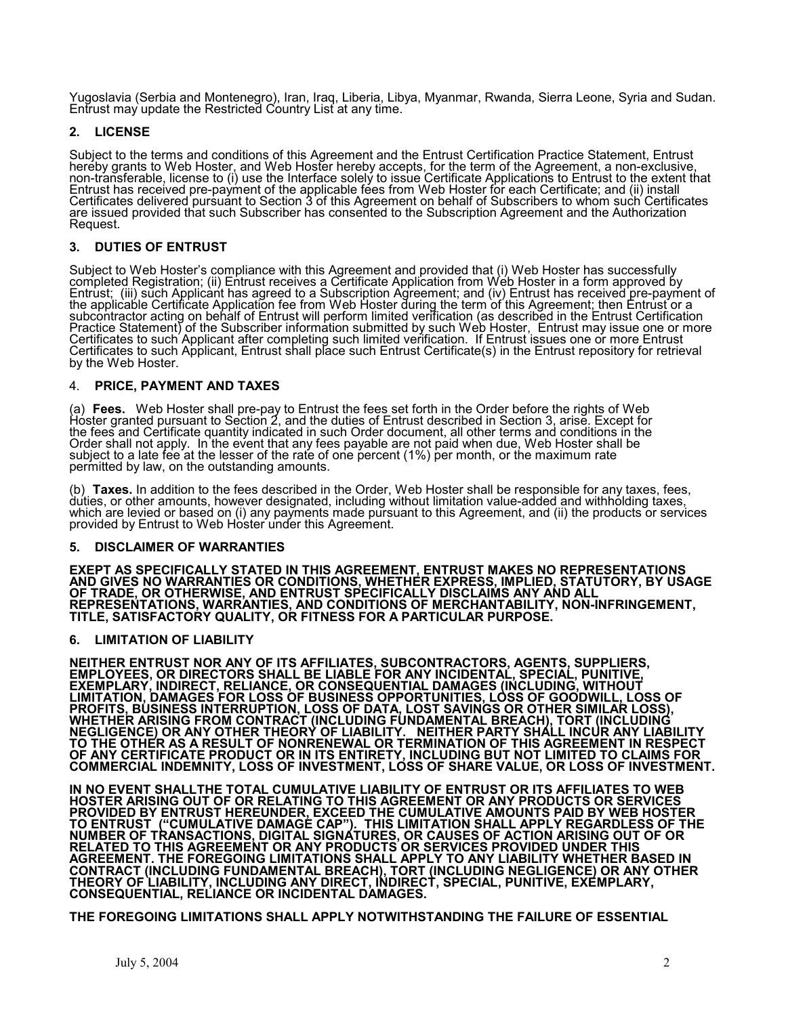Yugoslavia (Serbia and Montenegro), Iran, Iraq, Liberia, Libya, Myanmar, Rwanda, Sierra Leone, Syria and Sudan. Entrust may update the Restricted Country List at any time.

# **2. LICENSE**

Subject to the terms and conditions of this Agreement and the Entrust Certification Practice Statement, Entrust hereby grants to Web Hoster, and Web Hoster hereby accepts, for the term of the Agreement, a non-exclusive, non-transferable, license to (i) use the Interface solely to issue Certificate Applications to Entrust to the extent that Entrust has received pre-payment of the applicable fees from Web Hoster for each Certificate; and (ii) install Certificates delivered pursuant to Section 3 of this Agreement on behalf of Subscribers to whom such Certificates are issued provided that such Subscriber has consented to the Subscription Agreement and the Authorization Request.

# **3. DUTIES OF ENTRUST**

Subject to Web Hoster's compliance with this Agreement and provided that (i) Web Hoster has successfully completed Registration; (ii) Entrust receives a Certificate Application from Web Hoster in a form approved by Entrust; (iii) such Applicant has agreed to a Subscription Agreement; and (iv) Entrust has received pre-payment of the applicable Certificate Application fee from Web Hoster during the term of this Agreement; then Entrust or a subcontractor acting on behalf of Entrust will perform limited verification (as described in the Entrust Certification Practice Statement) of the Subscriber information submitted by such Web Hoster, Entrust may issue one or more Certificates to such Applicant after completing such limited verification. If Entrust issues one or more Entrust Certificates to such Applicant, Entrust shall place such Entrust Certificate(s) in the Entrust repository for retrieval by the Web Hoster.

### 4. **PRICE, PAYMENT AND TAXES**

(a) **Fees.** Web Hoster shall pre-pay to Entrust the fees set forth in the Order before the rights of Web<br>Hoster granted pursuant to Section 2, and the duties of Entrust described in Section 3, arise. Except for the fees and Certificate quantity indicated in such Order document, all other terms and conditions in the Order shall not apply. In the event that any fees payable are not paid when due, Web Hoster shall be subject to a late fee at the lesser of the rate of one percent (1%) per month, or the maximum rate

permitted by law, on the outstanding amounts.<br>(b) **Taxes.** In addition to the fees described in the Order, Web Hoster shall be responsible for any taxes, fees,<br>duties, or other amounts, however designated, including witho which are levied or based on (i) any payments made pursuant to this Agreement, and (ii) the products or services provided by Entrust to Web Hoster under this Agreement.

#### **5. DISCLAIMER OF WARRANTIES**

**EXEPT AS SPECIFICALLY STATED IN THIS AGREEMENT, ENTRUST MAKES NO REPRESENTATIONS AND GIVES NO WARRANTIES OR CONDITIONS, WHETHER EXPRESS, IMPLIED, STATUTORY, BY USAGE OF TRADE, OR OTHERWISE, AND ENTRUST SPECIFICALLY DISCLAIMS ANY AND ALL REPRESENTATIONS, WARRANTIES, AND CONDITIONS OF MERCHANTABILITY, NON-INFRINGEMENT, TITLE, SATISFACTORY QUALITY, OR FITNESS FOR A PARTICULAR PURPOSE.** 

## **6. LIMITATION OF LIABILITY**

**NEITHER ENTRUST NOR ANY OF ITS AFFILIATES, SUBCONTRACTORS, AGENTS, SUPPLIERS, EMPLOYEES, OR DIRECTORS SHALL BE LIABLE FOR ANY INCIDENTAL, SPECIAL, PUNITIVE, EXEMPLARY, INDIRECT, RELIANCE, OR CONSEQUENTIAL DAMAGES (INCLUDING, WITHOUT LIMITATION, DAMAGES FOR LOSS OF BUSINESS OPPORTUNITIES, LOSS OF GOODWILL, LOSS OF PROFITS, BUSINESS INTERRUPTION, LOSS OF DATA, LOST SAVINGS OR OTHER SIMILAR LOSS), WHETHER ARISING FROM CONTRACT (INCLUDING FUNDAMENTAL BREACH), TORT (INCLUDING NEGLIGENCE) OR ANY OTHER THEORY OF LIABILITY. NEITHER PARTY SHALL INCUR ANY LIABILITY TO THE OTHER AS A RESULT OF NONRENEWAL OR TERMINATION OF THIS AGREEMENT IN RESPECT OF ANY CERTIFICATE PRODUCT OR IN ITS ENTIRETY, INCLUDING BUT NOT LIMITED TO CLAIMS FOR COMMERCIAL INDEMNITY, LOSS OF INVESTMENT, LOSS OF SHARE VALUE, OR LOSS OF INVESTMENT.** 

**IN NO EVENT SHALLTHE TOTAL CUMULATIVE LIABILITY OF ENTRUST OR ITS AFFILIATES TO WEB HOSTER ARISING OUT OF OR RELATING TO THIS AGREEMENT OR ANY PRODUCTS OR SERVICES PROVIDED BY ENTRUST HEREUNDER, EXCEED THE CUMULATIVE AMOUNTS PAID BY WEB HOSTER TO ENTRUST ("CUMULATIVE DAMAGE CAP"). THIS LIMITATION SHALL APPLY REGARDLESS OF THE NUMBER OF TRANSACTIONS, DIGITAL SIGNATURES, OR CAUSES OF ACTION ARISING OUT OF OR RELATED TO THIS AGREEMENT OR ANY PRODUCTS OR SERVICES PROVIDED UNDER THIS AGREEMENT. THE FOREGOING LIMITATIONS SHALL APPLY TO ANY LIABILITY WHETHER BASED IN CONTRACT (INCLUDING FUNDAMENTAL BREACH), TORT (INCLUDING NEGLIGENCE) OR ANY OTHER THEORY OF LIABILITY, INCLUDING ANY DIRECT, INDIRECT, SPECIAL, PUNITIVE, EXEMPLARY, CONSEQUENTIAL, RELIANCE OR INCIDENTAL DAMAGES.** 

**THE FOREGOING LIMITATIONS SHALL APPLY NOTWITHSTANDING THE FAILURE OF ESSENTIAL**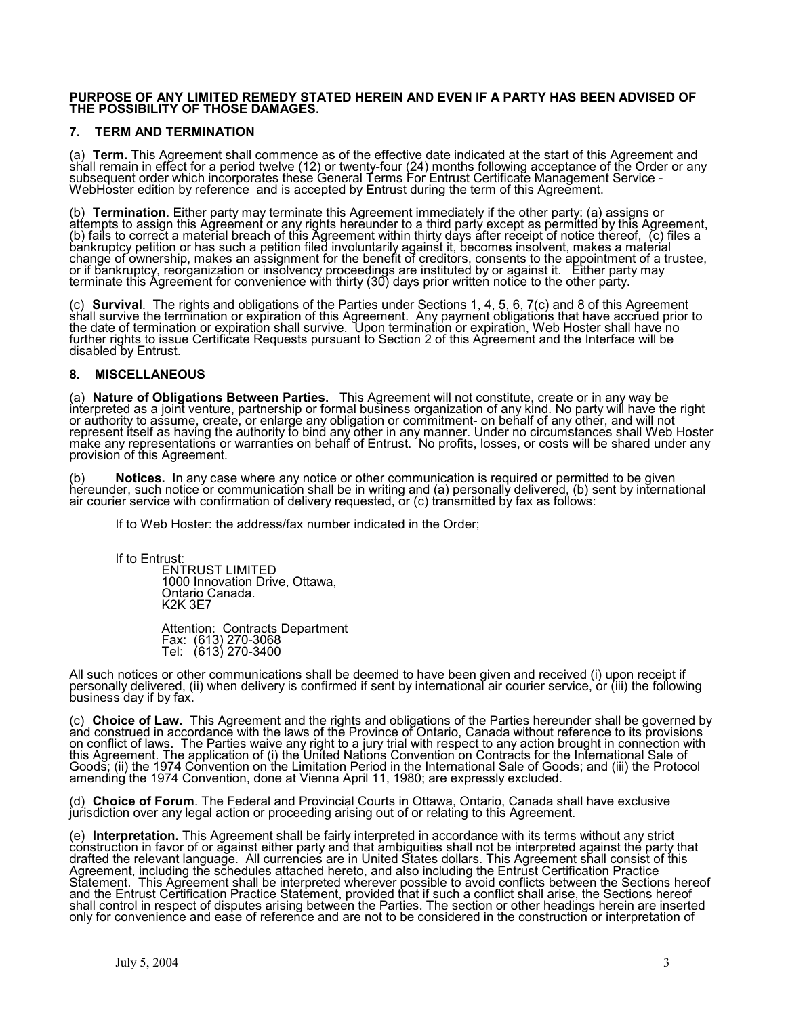#### **PURPOSE OF ANY LIMITED REMEDY STATED HEREIN AND EVEN IF A PARTY HAS BEEN ADVISED OF THE POSSIBILITY OF THOSE DAMAGES.**

## **7. TERM AND TERMINATION**

(a) Term. This Agreement shall commence as of the effective date indicated at the start of this Agreement and<br>shall remain in effect for a period twelve (12) or twenty-four (24) months following acceptance of the Order or subsequent order which incorporates these General Terms For Entrust Certificate Management Service - WebHoster edition by reference and is accepted by Entrust during the term of this Agreement.

(b) Termination. Either party may terminate this Agreement immediately if the other party: (a) assigns or<br>attempts to assign this Agreement or any rights hereunder to a third party except as permitted by this Agreement, (b) fails to correct a material breach of this Agreement within thirty days after receipt of notice thereof, (c) files a bankruptcy petition or has such a petition filed involuntarily against it, becomes insolvent, makes a material change of ownership, makes an assignment for the benefit of creditors, consents to the appointment of a trustee, or if bankruptcy, reorganization or insolvency proceedings are instituted by or against it. Either party may terminate this Agreement for convenience with thirty (30) days prior written notice to the other party.

(c) Survival. The rights and obligations of the Parties under Sections 1, 4, 5, 6, 7(c) and 8 of this Agreement<br>shall survive the termination or expiration of this Agreement. Any payment obligations that have accrued prior the date of termination or expiration shall survive. Upon termination or expiration, Web Hoster shall have no further rights to issue Certificate Requests pursuant to Section 2 of this Agreement and the Interface will be disabled by Entrust.

### **8. MISCELLANEOUS**

(a) Nature of Obligations Between Parties. This Agreement will not constitute, create or in any way be<br>interpreted as a joint venture, partnership or formal business organization of any kind. No party will have the right or authority to assume, create, or enlarge any obligation or commitment- on behalf of any other, and will not represent itself as having the authority to bind any other in any manner. Under no circumstances shall Web Hoster make any representations or warranties on behalf of Entrust. No profits, losses, or costs will be shared under any provision of this Agreement.

(b) **Notices.** In any case where any notice or other communication is required or permitted to be given hereunder, such notice or communication shall be in writing and (a) personally delivered, (b) sent by international air courier service with confirmation of delivery requested, or (c) transmitted by fax as follows:

If to Web Hoster: the address/fax number indicated in the Order;

If to Entrust:

ENTRUST LIMITED 1000 Innovation Drive, Ottawa, Ontario Canada. K2K 3E7

Attention: Contracts Department Fax: (613) 270-3068 Tel: (613) 270-3400

All such notices or other communications shall be deemed to have been given and received (i) upon receipt if personally delivered, (ii) when delivery is confirmed if sent by international air courier service, or (iii) the following business day if by fax.

(c) Choice of Law. This Agreement and the rights and obligations of the Parties hereunder shall be governed by<br>and construed in accordance with the laws of the Province of Ontario, Canada without reference to its provision on conflict of laws. The Parties waive any right to a jury trial with respect to any action brought in connection with this Agreement. The application of (i) the United Nations Convention on Contracts for the International Sale of Goods; (ii) the 1974 Convention on the Limitation Period in the International Sale of Goods; and (iii) the Protocol amending the 1974 Convention, done at Vienna April 11, 1980; are expressly excluded.

(d) **Choice of Forum**. The Federal and Provincial Courts in Ottawa, Ontario, Canada shall have exclusive jurisdiction over any legal action or proceeding arising out of or relating to this Agreement.

(e) Interpretation. This Agreement shall be fairly interpreted in accordance with its terms without any strict<br>construction in favor of or against either party and that ambiguities shall not be interpreted against the part drafted the relevant language. All currencies are in United States dollars. This Agreement shall consist of this Agreement, including the schedules attached hereto, and also including the Entrust Certification Practice Statement. This Agreement shall be interpreted wherever possible to avoid conflicts between the Sections hereof and the Entrust Certification Practice Statement, provided that if such a conflict shall arise, the Sections hereof shall control in respect of disputes arising between the Parties. The section or other headings herein are inserted only for convenience and ease of reference and are not to be considered in the construction or interpretation of